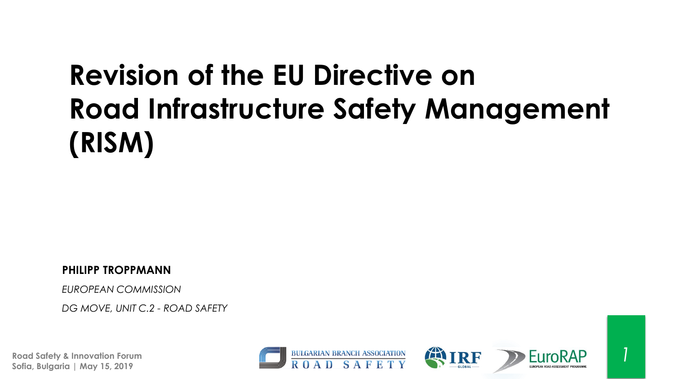# **Revision of the EU Directive on Road Infrastructure Safety Management (RISM)**

**PHILIPP TROPPMANN**

*EUROPEAN COMMISSION*

*DG MOVE, UNIT C.2 - ROAD SAFETY*

**Road Safety & Innovation Forum Sofia, Bulgaria | May 15, 2019**







*1*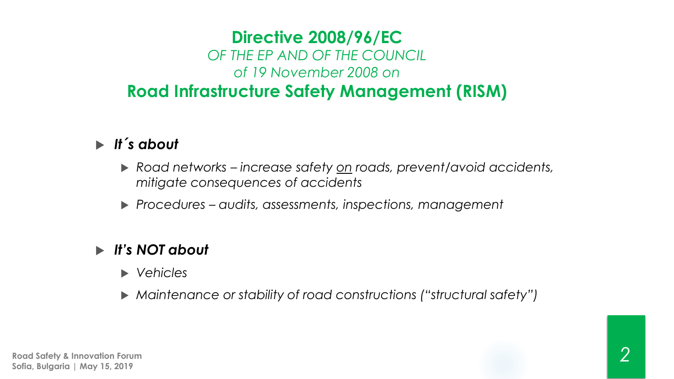### **Directive 2008/96/EC** *OF THE EP AND OF THE COUNCIL of 19 November 2008 on* **Road Infrastructure Safety Management (RISM)**

### *It´s about*

- *Road networks – increase safety on roads, prevent/avoid accidents, mitigate consequences of accidents*
- *Procedures – audits, assessments, inspections, management*

### *It's NOT about*

- *Vehicles*
- *Maintenance or stability of road constructions ("structural safety")*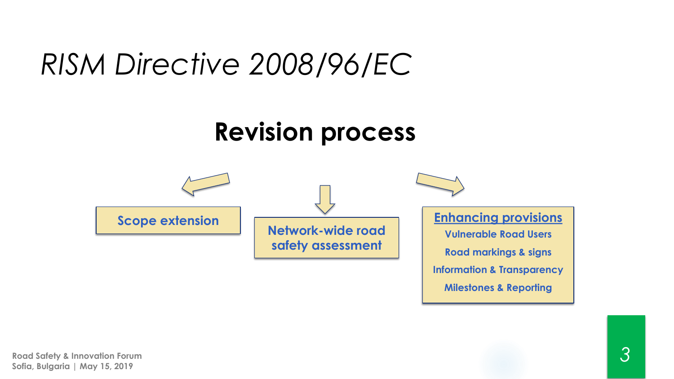## *RISM Directive 2008/96/EC*

### **Revision process**

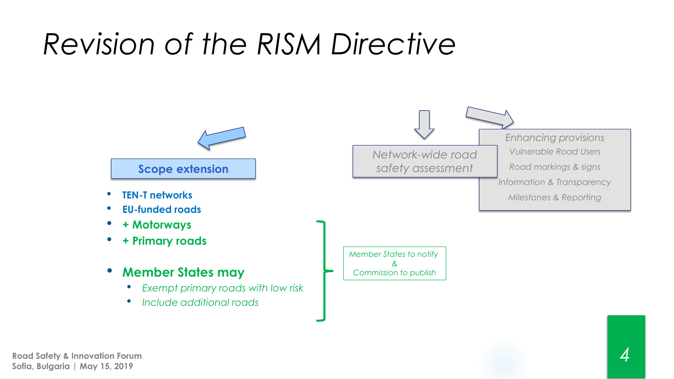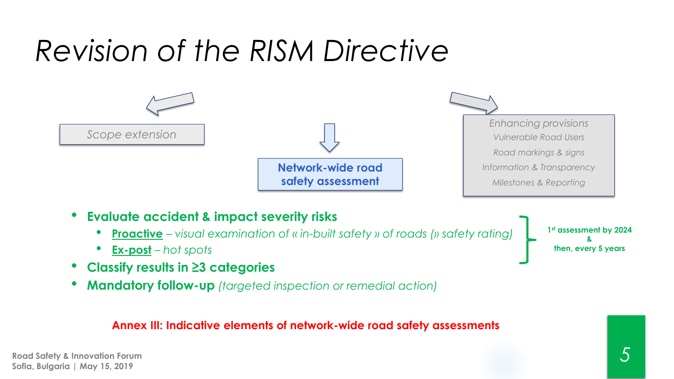

• **Mandatory follow-up** *(targeted inspection or remedial action)*

#### **Annex III: Indicative elements of network-wide road safety assessments**

**Road Safety & Innovation Forum Sofia, Bulgaria | May 15, 2019**

*5*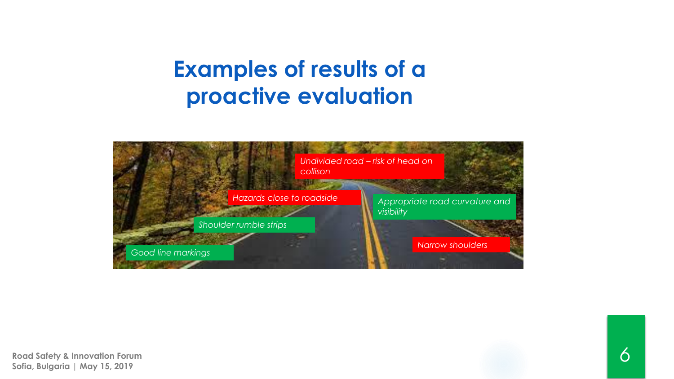### **Examples of results of a proactive evaluation**

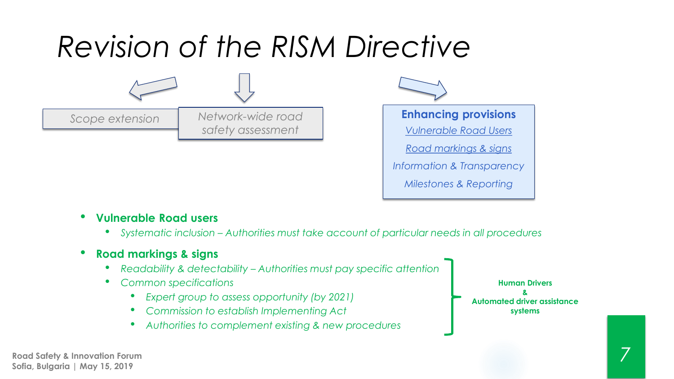

#### • **Vulnerable Road users**

- *Systematic inclusion – Authorities must take account of particular needs in all procedures*
- **Road markings & signs**
	- *Readability & detectability – Authorities must pay specific attention*
	- *Common specifications*
		- *Expert group to assess opportunity (by 2021)*
		- *Commission to establish Implementing Act*
		- *Authorities to complement existing & new procedures*

**Human Drivers & Automated driver assistance systems**

*7*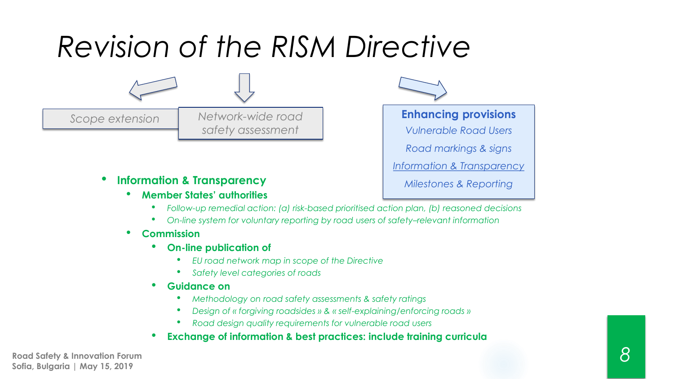**Scope extension Network-wide road Enhancing provisions** *Network-wide road safety assessment*

#### • **Information & Transparency**

- **Member States' authorities**
	- *Follow-up remedial action: (a) risk-based prioritised action plan, (b) reasoned decisions*

*Vulnerable Road Users*

*Road markings & signs*

*Information & Transparency*

*Milestones & Reporting*

• *On-line system for voluntary reporting by road users of safety–relevant information*

#### • **Commission**

- **On-line publication of** 
	- *EU road network map in scope of the Directive*
	- *Safety level categories of roads*
- **Guidance on** 
	- *Methodology on road safety assessments & safety ratings*
	- *Design of « forgiving roadsides » & « self-explaining/enforcing roads »*
	- *Road design quality requirements for vulnerable road users*

#### • **Exchange of information & best practices: include training curricula**

**Road Safety & Innovation Forum Sofia, Bulgaria | May 15, 2019**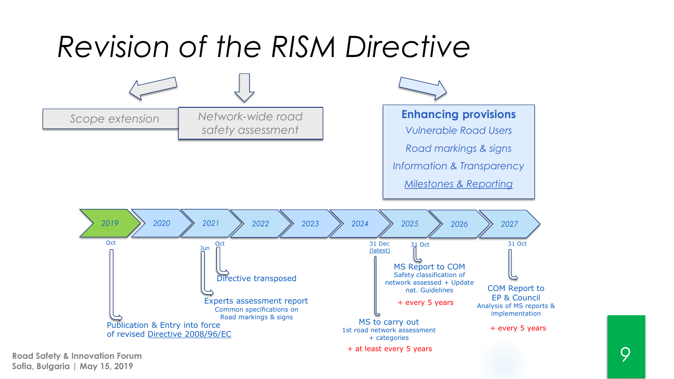

**Road Safety & Innovation Forum Sofia, Bulgaria | May 15, 2019**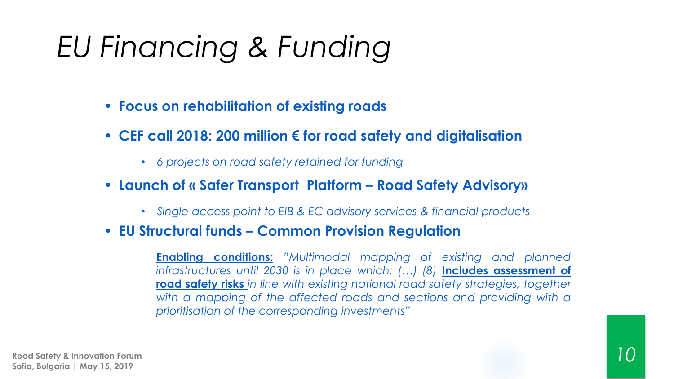# *EU Financing & Funding*

- *•* **Focus on rehabilitation of existing roads**
- *•* **CEF call 2018: 200 million € for road safety and digitalisation**
	- *6 projects on road safety retained for funding*
- *•* **Launch of « Safer Transport Platform – Road Safety Advisory»**
	- *Single access point to EIB & EC advisory services & financial products*
- *•* **EU Structural funds – Common Provision Regulation**

**Enabling conditions:** *"Multimodal mapping of existing and planned infrastructures until 2030 is in place which: (…) (8)* **Includes assessment of road safety risks** *in line with existing national road safety strategies, together with a mapping of the affected roads and sections and providing with a prioritisation of the corresponding investments"*